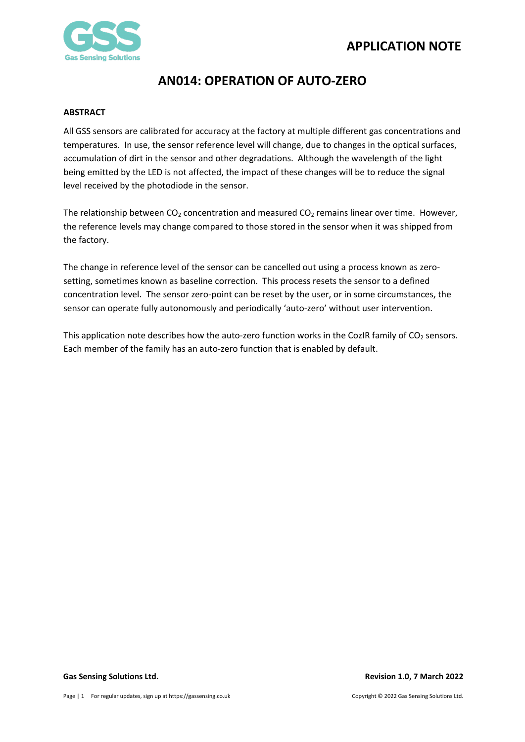

### <span id="page-0-0"></span>**ABSTRACT**

All GSS sensors are calibrated for accuracy at the factory at multiple different gas concentrations and temperatures. In use, the sensor reference level will change, due to changes in the optical surfaces, accumulation of dirt in the sensor and other degradations. Although the wavelength of the light being emitted by the LED is not affected, the impact of these changes will be to reduce the signal level received by the photodiode in the sensor.

The relationship between  $CO<sub>2</sub>$  concentration and measured  $CO<sub>2</sub>$  remains linear over time. However, the reference levels may change compared to those stored in the sensor when it was shipped from the factory.

The change in reference level of the sensor can be cancelled out using a process known as zerosetting, sometimes known as baseline correction. This process resets the sensor to a defined concentration level. The sensor zero-point can be reset by the user, or in some circumstances, the sensor can operate fully autonomously and periodically 'auto-zero' without user intervention.

This application note describes how the auto-zero function works in the CozIR family of CO<sub>2</sub> sensors. Each member of the family has an auto-zero function that is enabled by default.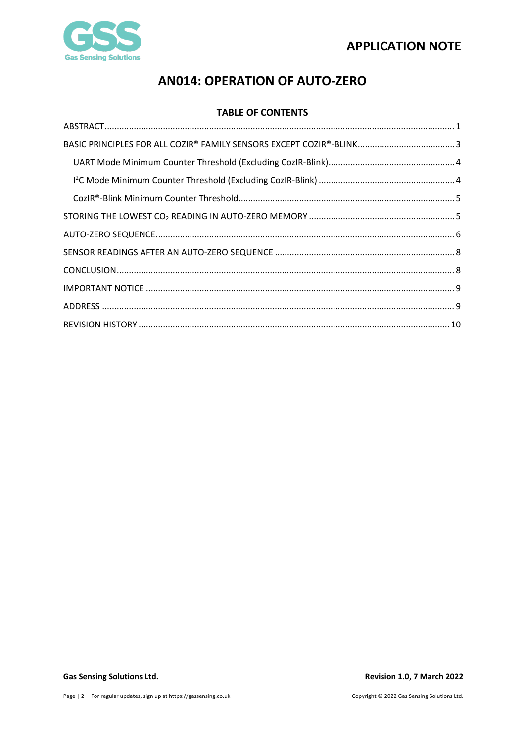

## **TABLE OF CONTENTS**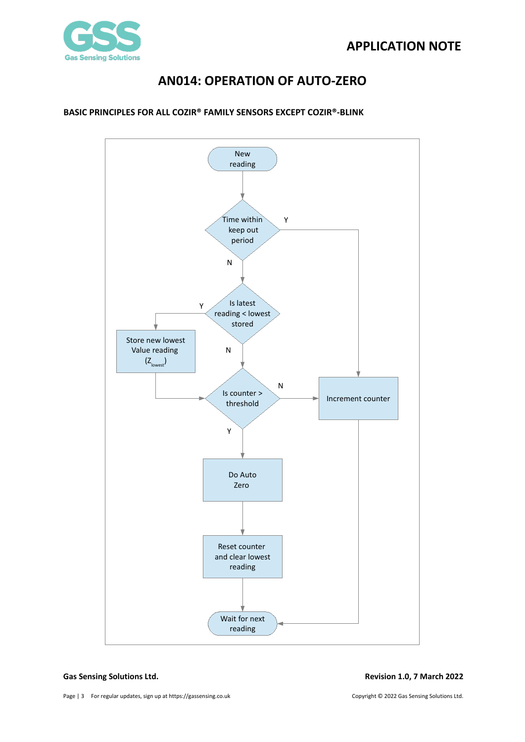

## <span id="page-2-0"></span>**BASIC PRINCIPLES FOR ALL COZIR® FAMILY SENSORS EXCEPT COZIR®-BLINK**

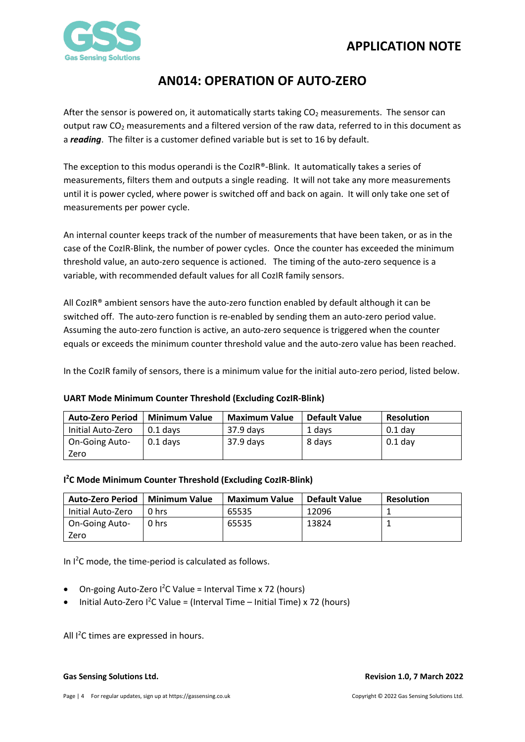

After the sensor is powered on, it automatically starts taking  $CO<sub>2</sub>$  measurements. The sensor can output raw CO2 measurements and a filtered version of the raw data, referred to in this document as a *reading*. The filter is a customer defined variable but is set to 16 by default.

The exception to this modus operandi is the CozIR®-Blink. It automatically takes a series of measurements, filters them and outputs a single reading. It will not take any more measurements until it is power cycled, where power is switched off and back on again. It will only take one set of measurements per power cycle.

An internal counter keeps track of the number of measurements that have been taken, or as in the case of the CozIR-Blink, the number of power cycles. Once the counter has exceeded the minimum threshold value, an auto-zero sequence is actioned. The timing of the auto-zero sequence is a variable, with recommended default values for all CozIR family sensors.

All CozIR® ambient sensors have the auto-zero function enabled by default although it can be switched off. The auto-zero function is re-enabled by sending them an auto-zero period value. Assuming the auto-zero function is active, an auto-zero sequence is triggered when the counter equals or exceeds the minimum counter threshold value and the auto-zero value has been reached.

In the CozIR family of sensors, there is a minimum value for the initial auto-zero period, listed below.

### <span id="page-3-0"></span>**UART Mode Minimum Counter Threshold (Excluding CozIR-Blink)**

| <b>Auto-Zero Period</b> | <b>Minimum Value</b> | <b>Maximum Value</b> | <b>Default Value</b> | <b>Resolution</b> |
|-------------------------|----------------------|----------------------|----------------------|-------------------|
| Initial Auto-Zero       | $0.1$ davs           | 37.9 days            | 1 davs               | $0.1$ dav         |
| <b>On-Going Auto-</b>   | $0.1$ days           | 37.9 days            | 8 days               | $0.1$ day         |
| Zero                    |                      |                      |                      |                   |

### <span id="page-3-1"></span>**I 2 C Mode Minimum Counter Threshold (Excluding CozIR-Blink)**

| <b>Auto-Zero Period</b> | <b>Minimum Value</b> | <b>Maximum Value</b> | <b>Default Value</b> | <b>Resolution</b> |
|-------------------------|----------------------|----------------------|----------------------|-------------------|
| Initial Auto-Zero       | 0 hrs                | 65535                | 12096                |                   |
| <b>On-Going Auto-</b>   | 0 hrs                | 65535                | 13824                |                   |
| Zero                    |                      |                      |                      |                   |

In I<sup>2</sup>C mode, the time-period is calculated as follows.

- On-going Auto-Zero  $l^2C$  Value = Interval Time x 72 (hours)
- $\bullet$  Initial Auto-Zero I<sup>2</sup>C Value = (Interval Time Initial Time) x 72 (hours)

All I<sup>2</sup>C times are expressed in hours.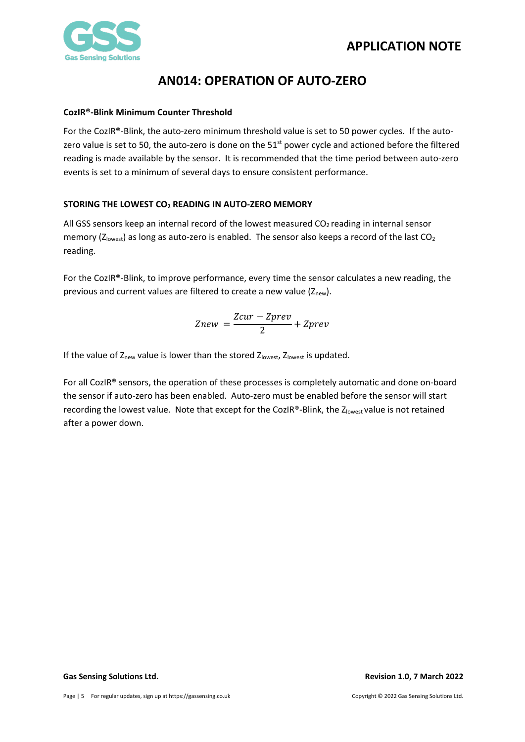

### <span id="page-4-0"></span>**CozIR®-Blink Minimum Counter Threshold**

For the CozIR®-Blink, the auto-zero minimum threshold value is set to 50 power cycles. If the autozero value is set to 50, the auto-zero is done on the 51<sup>st</sup> power cycle and actioned before the filtered reading is made available by the sensor. It is recommended that the time period between auto-zero events is set to a minimum of several days to ensure consistent performance.

## <span id="page-4-1"></span>**STORING THE LOWEST CO2 READING IN AUTO-ZERO MEMORY**

All GSS sensors keep an internal record of the lowest measured  $CO<sub>2</sub>$  reading in internal sensor memory ( $Z<sub>lowest</sub>$ ) as long as auto-zero is enabled. The sensor also keeps a record of the last CO<sub>2</sub> reading.

For the CozIR®-Blink, to improve performance, every time the sensor calculates a new reading, the previous and current values are filtered to create a new value  $(Z<sub>new</sub>)$ .

$$
Znew = \frac{Zcur - Zprev}{2} + Zprev
$$

If the value of Z<sub>new</sub> value is lower than the stored Z<sub>lowest</sub>, Z<sub>lowest</sub> is updated.

For all CozIR® sensors, the operation of these processes is completely automatic and done on-board the sensor if auto-zero has been enabled. Auto-zero must be enabled before the sensor will start recording the lowest value. Note that except for the CozIR®-Blink, the Zlowest value is not retained after a power down.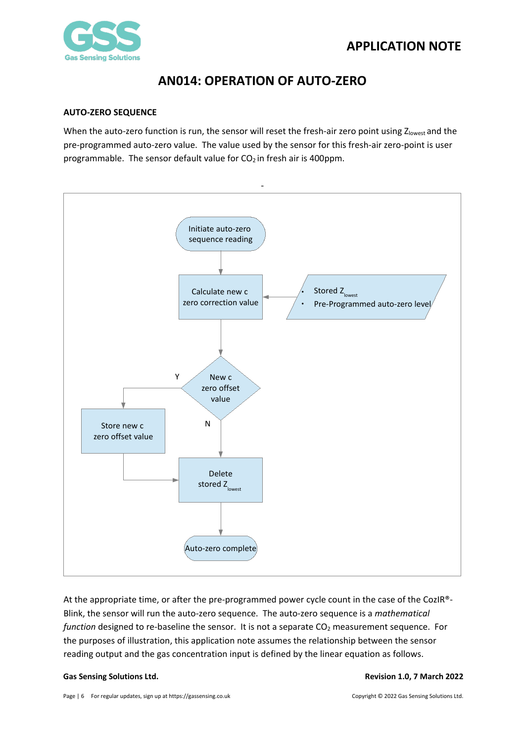

## <span id="page-5-0"></span>**AUTO-ZERO SEQUENCE**

When the auto-zero function is run, the sensor will reset the fresh-air zero point using  $Z_{\text{lowest}}$  and the pre-programmed auto-zero value. The value used by the sensor for this fresh-air zero-point is user programmable. The sensor default value for  $CO<sub>2</sub>$  in fresh air is 400ppm.



At the appropriate time, or after the pre-programmed power cycle count in the case of the CozIR®- Blink, the sensor will run the auto-zero sequence. The auto-zero sequence is a *mathematical function* designed to re-baseline the sensor. It is not a separate CO<sub>2</sub> measurement sequence. For the purposes of illustration, this application note assumes the relationship between the sensor reading output and the gas concentration input is defined by the linear equation as follows.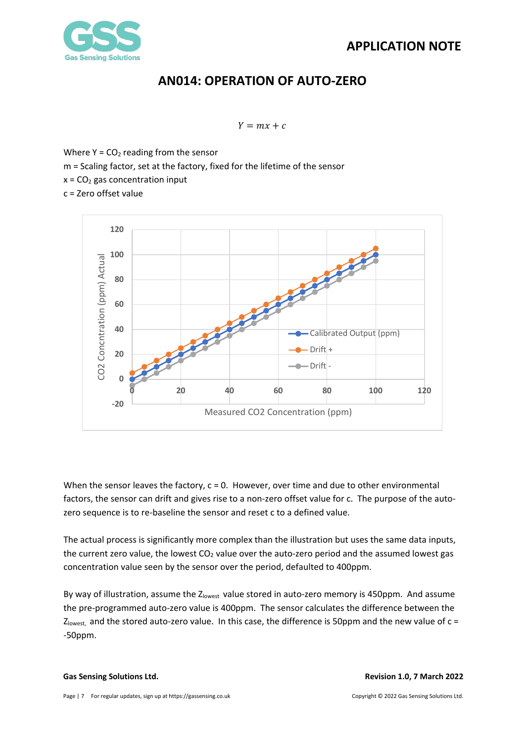

 $Y = mx + c$ 

Where  $Y = CO<sub>2</sub>$  reading from the sensor m = Scaling factor, set at the factory, fixed for the lifetime of the sensor  $x = CO<sub>2</sub>$  gas concentration input c = Zero offset value



When the sensor leaves the factory,  $c = 0$ . However, over time and due to other environmental factors, the sensor can drift and gives rise to a non-zero offset value for c. The purpose of the autozero sequence is to re-baseline the sensor and reset c to a defined value.

The actual process is significantly more complex than the illustration but uses the same data inputs, the current zero value, the lowest  $CO<sub>2</sub>$  value over the auto-zero period and the assumed lowest gas concentration value seen by the sensor over the period, defaulted to 400ppm.

By way of illustration, assume the  $Z_{\text{lowest}}$  value stored in auto-zero memory is 450ppm. And assume the pre-programmed auto-zero value is 400ppm. The sensor calculates the difference between the  $Z_{\text{lowest}}$ , and the stored auto-zero value. In this case, the difference is 50ppm and the new value of  $c =$ -50ppm.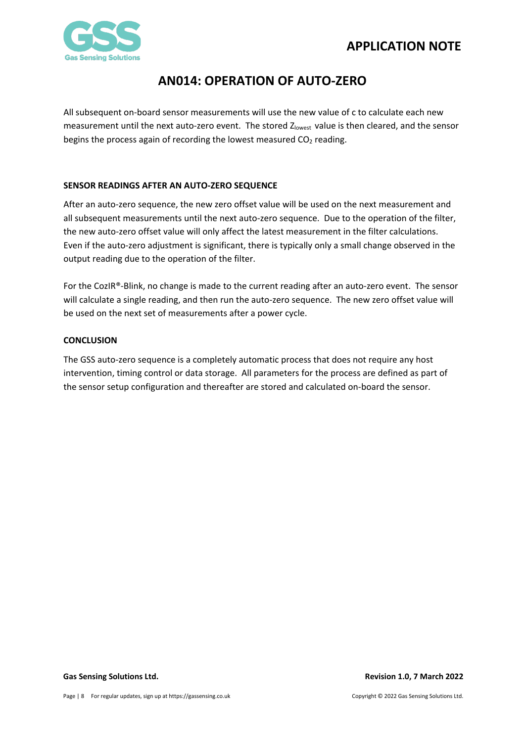## **APPLICATION NOTE**



## **AN014: OPERATION OF AUTO-ZERO**

All subsequent on-board sensor measurements will use the new value of c to calculate each new measurement until the next auto-zero event. The stored Zlowest value is then cleared, and the sensor begins the process again of recording the lowest measured  $CO<sub>2</sub>$  reading.

## <span id="page-7-0"></span>**SENSOR READINGS AFTER AN AUTO-ZERO SEQUENCE**

After an auto-zero sequence, the new zero offset value will be used on the next measurement and all subsequent measurements until the next auto-zero sequence. Due to the operation of the filter, the new auto-zero offset value will only affect the latest measurement in the filter calculations. Even if the auto-zero adjustment is significant, there is typically only a small change observed in the output reading due to the operation of the filter.

For the CozIR®-Blink, no change is made to the current reading after an auto-zero event. The sensor will calculate a single reading, and then run the auto-zero sequence. The new zero offset value will be used on the next set of measurements after a power cycle.

## <span id="page-7-1"></span>**CONCLUSION**

The GSS auto-zero sequence is a completely automatic process that does not require any host intervention, timing control or data storage. All parameters for the process are defined as part of the sensor setup configuration and thereafter are stored and calculated on-board the sensor.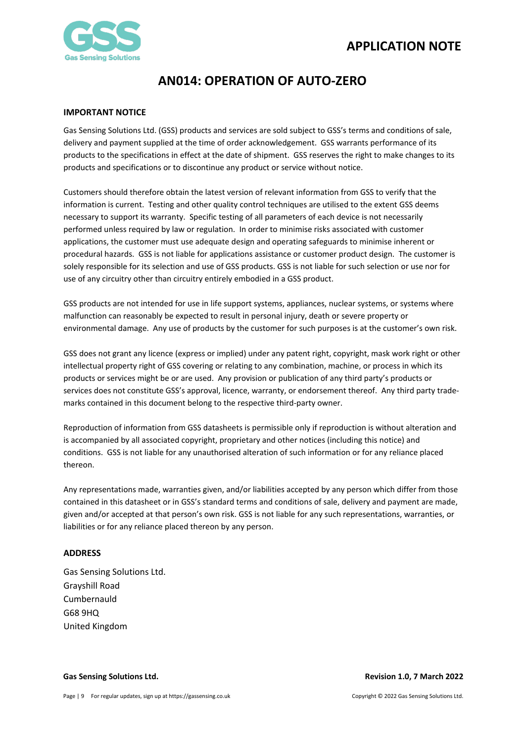

### <span id="page-8-0"></span>**IMPORTANT NOTICE**

Gas Sensing Solutions Ltd. (GSS) products and services are sold subject to GSS's terms and conditions of sale, delivery and payment supplied at the time of order acknowledgement. GSS warrants performance of its products to the specifications in effect at the date of shipment. GSS reserves the right to make changes to its products and specifications or to discontinue any product or service without notice.

Customers should therefore obtain the latest version of relevant information from GSS to verify that the information is current. Testing and other quality control techniques are utilised to the extent GSS deems necessary to support its warranty. Specific testing of all parameters of each device is not necessarily performed unless required by law or regulation. In order to minimise risks associated with customer applications, the customer must use adequate design and operating safeguards to minimise inherent or procedural hazards. GSS is not liable for applications assistance or customer product design. The customer is solely responsible for its selection and use of GSS products. GSS is not liable for such selection or use nor for use of any circuitry other than circuitry entirely embodied in a GSS product.

GSS products are not intended for use in life support systems, appliances, nuclear systems, or systems where malfunction can reasonably be expected to result in personal injury, death or severe property or environmental damage. Any use of products by the customer for such purposes is at the customer's own risk.

GSS does not grant any licence (express or implied) under any patent right, copyright, mask work right or other intellectual property right of GSS covering or relating to any combination, machine, or process in which its products or services might be or are used. Any provision or publication of any third party's products or services does not constitute GSS's approval, licence, warranty, or endorsement thereof. Any third party trademarks contained in this document belong to the respective third-party owner.

Reproduction of information from GSS datasheets is permissible only if reproduction is without alteration and is accompanied by all associated copyright, proprietary and other notices (including this notice) and conditions. GSS is not liable for any unauthorised alteration of such information or for any reliance placed thereon.

Any representations made, warranties given, and/or liabilities accepted by any person which differ from those contained in this datasheet or in GSS's standard terms and conditions of sale, delivery and payment are made, given and/or accepted at that person's own risk. GSS is not liable for any such representations, warranties, or liabilities or for any reliance placed thereon by any person.

### <span id="page-8-1"></span>**ADDRESS**

Gas Sensing Solutions Ltd. Grayshill Road Cumbernauld G68 9HQ United Kingdom